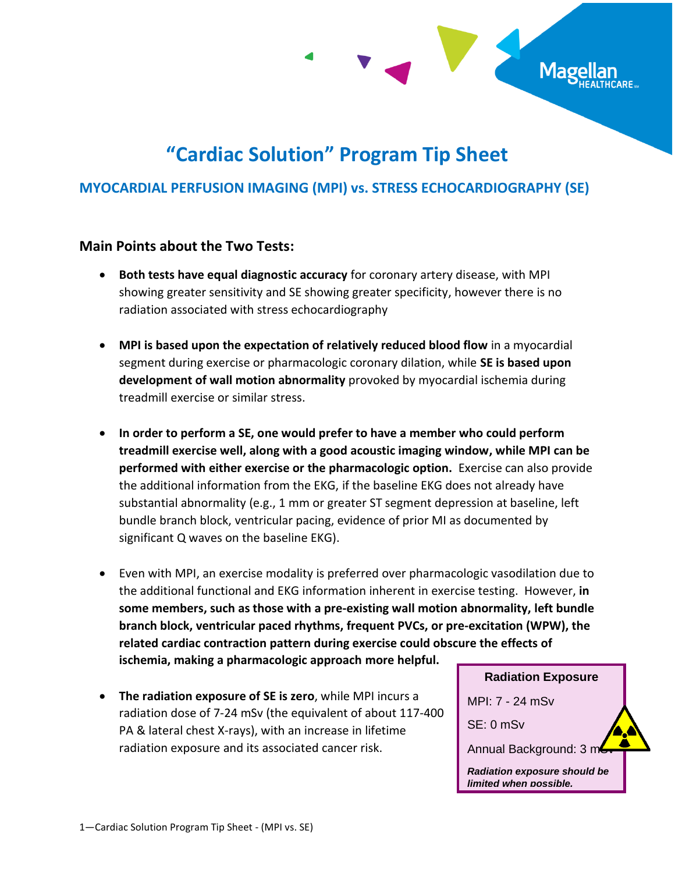

# **"Cardiac Solution" Program Tip Sheet**

### **MYOCARDIAL PERFUSION IMAGING (MPI) vs. STRESS ECHOCARDIOGRAPHY (SE)**

### **Main Points about the Two Tests:**

- **Both tests have equal diagnostic accuracy** for coronary artery disease, with MPI showing greater sensitivity and SE showing greater specificity, however there is no radiation associated with stress echocardiography
- **MPI is based upon the expectation of relatively reduced blood flow** in a myocardial segment during exercise or pharmacologic coronary dilation, while **SE is based upon development of wall motion abnormality** provoked by myocardial ischemia during treadmill exercise or similar stress.
- **In order to perform a SE, one would prefer to have a member who could perform treadmill exercise well, along with a good acoustic imaging window, while MPI can be performed with either exercise or the pharmacologic option.** Exercise can also provide the additional information from the EKG, if the baseline EKG does not already have substantial abnormality (e.g., 1 mm or greater ST segment depression at baseline, left bundle branch block, ventricular pacing, evidence of prior MI as documented by significant Q waves on the baseline EKG).
- Even with MPI, an exercise modality is preferred over pharmacologic vasodilation due to the additional functional and EKG information inherent in exercise testing. However, **in some members, such as those with a pre-existing wall motion abnormality, left bundle branch block, ventricular paced rhythms, frequent PVCs, or pre-excitation (WPW), the related cardiac contraction pattern during exercise could obscure the effects of ischemia, making a pharmacologic approach more helpful.**
- **The radiation exposure of SE is zero**, while MPI incurs a radiation dose of 7-24 mSv (the equivalent of about 117-400 PA & lateral chest X-rays), with an increase in lifetime radiation exposure and its associated cancer risk.

**Radiation Exposure** MPI: 7 - 24 mSv SE: 0 mSv Annual Background: 3 m *Radiation exposure should be limited when possible.*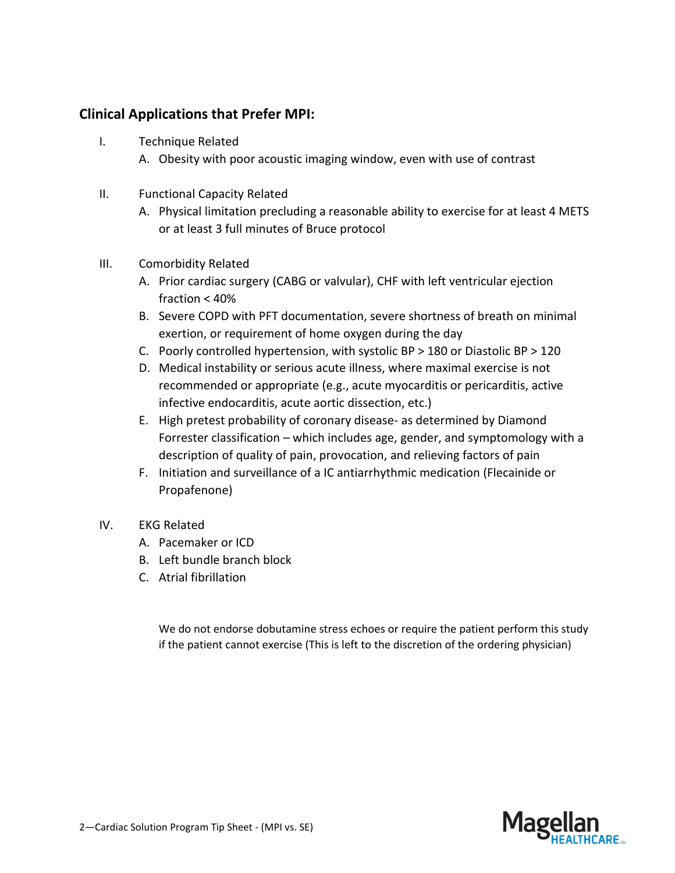### **Clinical Applications that Prefer MPI:**

- I. Technique Related
	- A. Obesity with poor acoustic imaging window, even with use of contrast
- II. Functional Capacity Related
	- A. Physical limitation precluding a reasonable ability to exercise for at least 4 METS or at least 3 full minutes of Bruce protocol
- III. Comorbidity Related
	- A. Prior cardiac surgery (CABG or valvular), CHF with left ventricular ejection fraction < 40%
	- B. Severe COPD with PFT documentation, severe shortness of breath on minimal exertion, or requirement of home oxygen during the day
	- C. Poorly controlled hypertension, with systolic BP > 180 or Diastolic BP > 120
	- D. Medical instability or serious acute illness, where maximal exercise is not recommended or appropriate (e.g., acute myocarditis or pericarditis, active infective endocarditis, acute aortic dissection, etc.)
	- E. High pretest probability of coronary disease- as determined by Diamond Forrester classification – which includes age, gender, and symptomology with a description of quality of pain, provocation, and relieving factors of pain
	- F. Initiation and surveillance of a IC antiarrhythmic medication (Flecainide or Propafenone)
- IV. EKG Related
	- A. Pacemaker or ICD
	- B. Left bundle branch block
	- C. Atrial fibrillation

We do not endorse dobutamine stress echoes or require the patient perform this study if the patient cannot exercise (This is left to the discretion of the ordering physician)

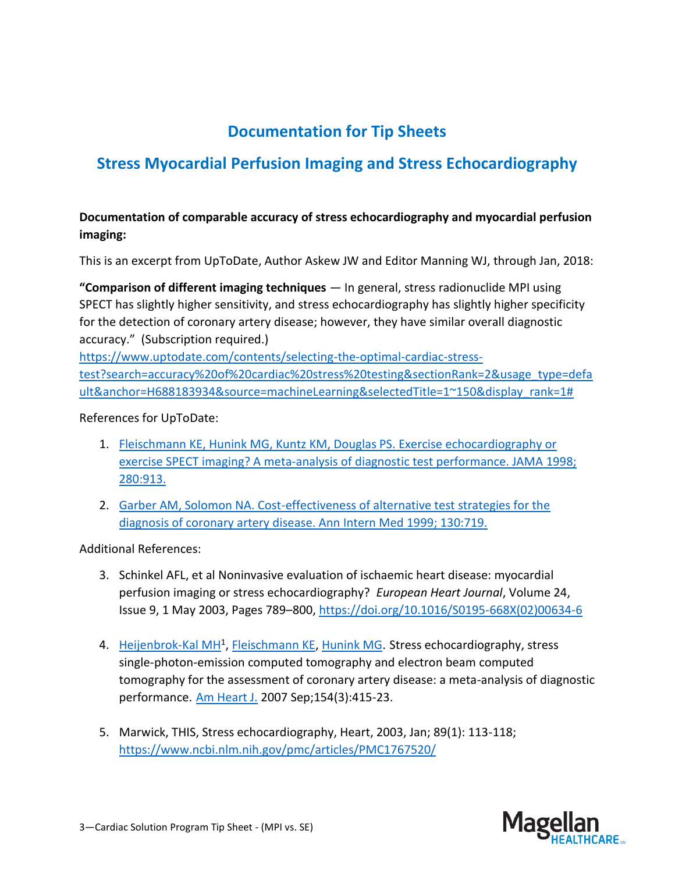# **Documentation for Tip Sheets**

# **Stress Myocardial Perfusion Imaging and Stress Echocardiography**

### **Documentation of comparable accuracy of stress echocardiography and myocardial perfusion imaging:**

This is an excerpt from UpToDate, Author Askew JW and Editor Manning WJ, through Jan, 2018:

**"Comparison of different imaging techniques** — In general, stress radionuclide MPI using SPECT has slightly higher sensitivity, and stress echocardiography has slightly higher specificity for the detection of coronary artery disease; however, they have similar overall diagnostic accuracy." (Subscription required.)

[https://www.uptodate.com/contents/selecting-the-optimal-cardiac-stress](https://www.uptodate.com/contents/selecting-the-optimal-cardiac-stress-test?search=accuracy%20of%20cardiac%20stress%20testing§ionRank=2&usage_type=default&anchor=H688183934&source=machineLearning&selectedTitle=1~150&display_rank=1%23)[test?search=accuracy%20of%20cardiac%20stress%20testing&sectionRank=2&usage\\_type=defa](https://www.uptodate.com/contents/selecting-the-optimal-cardiac-stress-test?search=accuracy%20of%20cardiac%20stress%20testing§ionRank=2&usage_type=default&anchor=H688183934&source=machineLearning&selectedTitle=1~150&display_rank=1%23) [ult&anchor=H688183934&source=machineLearning&selectedTitle=1~150&display\\_rank=1#](https://www.uptodate.com/contents/selecting-the-optimal-cardiac-stress-test?search=accuracy%20of%20cardiac%20stress%20testing§ionRank=2&usage_type=default&anchor=H688183934&source=machineLearning&selectedTitle=1~150&display_rank=1%23)

References for UpToDate:

- 1. [Fleischmann KE, Hunink MG, Kuntz KM, Douglas PS. Exercise echocardiography or](https://www.uptodate.com/contents/selecting-the-optimal-cardiac-stress-test/abstract/16)  [exercise SPECT imaging? A meta-analysis of diagnostic test performance. JAMA](https://www.uptodate.com/contents/selecting-the-optimal-cardiac-stress-test/abstract/16) 1998; [280:913.](https://www.uptodate.com/contents/selecting-the-optimal-cardiac-stress-test/abstract/16)
- 2. [Garber AM, Solomon NA. Cost-effectiveness of alternative test strategies for the](https://www.uptodate.com/contents/selecting-the-optimal-cardiac-stress-test/abstract/17)  [diagnosis of coronary artery disease. Ann Intern Med 1999; 130:719.](https://www.uptodate.com/contents/selecting-the-optimal-cardiac-stress-test/abstract/17)

Additional References:

- 3. Schinkel AFL, et al Noninvasive evaluation of ischaemic heart disease: myocardial perfusion imaging or stress echocardiography? *European Heart Journal*, Volume 24, Issue 9, 1 May 2003, Pages 789–800, [https://doi.org/10.1016/S0195-668X\(02\)00634-6](https://doi.org/10.1016/S0195-668X(02)00634-6)
- 4. [Heijenbrok-Kal MH](https://www.ncbi.nlm.nih.gov/pubmed/?term=Heijenbrok-Kal%20MH%5BAuthor%5D&cauthor=true&cauthor_uid=17719283)<sup>1</sup>, [Fleischmann KE,](https://www.ncbi.nlm.nih.gov/pubmed/?term=Fleischmann%20KE%5BAuthor%5D&cauthor=true&cauthor_uid=17719283) [Hunink MG.](https://www.ncbi.nlm.nih.gov/pubmed/?term=Hunink%20MG%5BAuthor%5D&cauthor=true&cauthor_uid=17719283) Stress echocardiography, stress single-photon-emission computed tomography and electron beam computed tomography for the assessment of coronary artery disease: a meta-analysis of diagnostic performance. [Am Heart J.](https://www.ncbi.nlm.nih.gov/pubmed/17719283?dopt=Abstract) 2007 Sep;154(3):415-23.
- 5. Marwick, THIS, Stress echocardiography, Heart, 2003, Jan; 89(1): 113-118; <https://www.ncbi.nlm.nih.gov/pmc/articles/PMC1767520/>